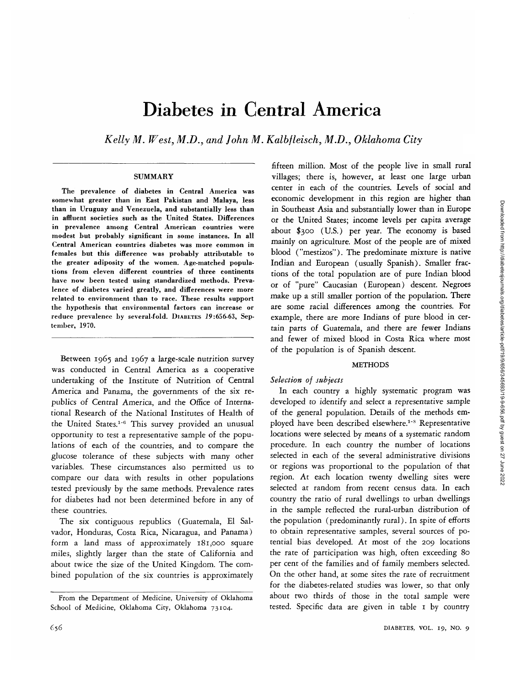# Diabetes in Central America

*Kelly M. West, M.D., and John M. Kalbfleisch, M.D., Oklahoma City*

## **SUMMARY**

The prevalence of diabetes in Central America was somewhat greater than in East Pakistan and Malaya, less than in Uruguay and Venezuela, and substantially less than in affluent societies such as the United States. Differences in prevalence among Central American countries were modest but probably significant in some instances. In all Central American countries diabetes was more common in females but this difference was probably attributable to the greater adiposity of the women. Age-matched populations from eleven different countries of three continents have now been tested using standardized methods. Prevalence of diabetes varied greatly, and differences were more related to environment than to race. These results support the hypothesis that environmental factors can increase or reduce prevalence by several-fold. DIABETES 19:656-63, September, 1970.

Between 1965 and 1967 a large-scale nutrition survey was conducted in Central America as a cooperative undertaking of the Institute of Nutrition of Central America and Panama, the governments of the six republics of Central America, and the Office of International Research of the National Institutes of Health of the United States.<sup>1-6</sup> This survey provided an unusual opportunity to test a representative sample of the populations of each of the countries, and to compare the glucose tolerance of these subjects with many other variables. These circumstances also permitted us to compare our data with results in other populations tested previously by the same methods. Prevalence rates for diabetes had not been determined before in any of these countries.

The six contiguous republics (Guatemala, El Salvador, Honduras, Costa Rica, Nicaragua, and Panama) form a land mass of approximately 181,000 square miles, slightly larger than the state of California and about twice the size of the United Kingdom. The combined population of the six countries is approximately

fifteen million. Most of the people live in small rural villages; there is, however, at least one large urban center in each of the countries. Levels of social and economic development in this region are higher than in Southeast Asia and substantially lower than in Europe or the United States; income levels per capita average about \$300 (U.S.) per year. The economy is based mainly on agriculture. Most of the people are of mixed blood ("mestizos"). The predominate mixture is native Indian and European (usually Spanish). Smaller fractions of the total population are of pure Indian blood or of "pure" Caucasian (European) descent. Negroes make up a still smaller portion of the population. There are some racial differences among the countries. For example, there are more Indians of pure blood in certain parts of Guatemala, and there are fewer Indians and fewer of mixed blood in Costa Rica where most of the population is of Spanish descent.

#### METHODS

# *Selection of subjects*

In each country a highly systematic program was developed to identify and select a representative sample of the general population. Details of the methods employed have been described elsewhere.<sup>1-s</sup> Representative locations were selected by means of a systematic random procedure. In each country the number of locations selected in each of the several administrative divisions or regions was proportional to the population of that region. At each location twenty dwelling sites were selected at random from recent census data. In each country the ratio of rural dwellings to urban dwellings in the sample reflected the rural-urban distribution of the population (predominantly rural). In spite of efforts to obtain representative samples, several sources of potential bias developed. At most of the 209 locations the rate of participation was high, often exceeding 80 per cent of the families and of family members selected. On the other hand, at some sites the rate of recruitment for the diabetes-related studies was lower, so that only about two thirds of those in the total sample were tested. Specific data are given in table 1 by country

From the Department of Medicine, University of Oklahoma School of Medicine, Oklahoma City, Oklahoma 73104.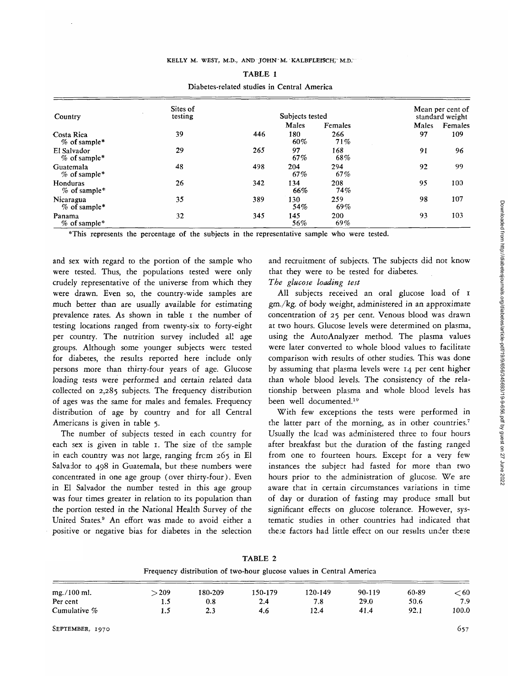| Country                       | Sites of<br>testing |     | Subjects tested |                   |       | Mean per cent of<br>standard weight |  |
|-------------------------------|---------------------|-----|-----------------|-------------------|-------|-------------------------------------|--|
|                               |                     |     | Males           | Females           | Males | Females                             |  |
| Costa Rica<br>$%$ of sample*  | 39                  | 446 | 180<br>60%      | 266<br>71%        | 97    | 109                                 |  |
| El Salvador<br>$%$ of sample* | 29                  | 265 | 97<br>67%       | 168<br>68%        | 91    | 96                                  |  |
| Guatemala<br>$%$ of sample*   | 48                  | 498 | 204<br>67%      | 294<br>67%        | 92    | 99                                  |  |
| Honduras<br>$%$ of sample*    | 26                  | 342 | 134<br>66%      | 208<br>74%        | 95    | 100                                 |  |
| Nicaragua<br>$%$ of sample*   | 35                  | 389 | 130<br>54%      | 259<br>69%        | 98    | 107                                 |  |
| Panama<br>$%$ of sample*      | 32                  | 345 | 145<br>56%      | <b>200</b><br>69% | 93    | 103                                 |  |

TABLE 1 Diabetes-related studies in Central America

\*This represents the percentage of the subjects in the representative sample who were tested

and sex with regard to the portion of the sample who were tested. Thus, the populations tested were only crudely representative of the universe from which they were drawn. Even so, the country-wide samples are much better than are usually available for estimating prevalence rates. As shown in table I the number of testing locations ranged from twenty-six to forty-eight per country. The nutrition survey included all age groups. Although some younger subjects were tested for diabetes, the results reported here include only persons more than thirty-four years of age. Glucose loading tests were performed and certain related data collected on 2,285 subjects. The frequency distribution of ages was the same for males and females. Frequency distribution of age by country and for all Central Americans is given in table 5.

The number of subjects tested in each country for each sex is given in table 1. The size of the sample in each country was not large, ranging frcm 265 in El Salvador to 498 in Guatemala, but these numbers were concentrated in one age group (over thirty-four). Even in El Salvador the number tested in this age group was four times greater in relation to its population than the portion tested in the National Health Survey of the United States.9 An effort was made to avoid either a positive or negative bias for diabetes in the selection

and recruitment of subjects. The subjects did not know that they were to be tested for diabetes.

# *The glucose loading test*

All subjects received an oral glucose load of 1 gm./kg. of body weight, administered in an approximate concentration of 25 per cent. Venous blood was drawn at two hours. Glucose levels were determined on plasma, using the AutoAnalyzer method. The plasma values were later converted to whole blood values to facilitate comparison with results of other studies. This was done by assuming that plasma levels were 14 per cent higher than whole blood levels. The consistency of the relationship between plasma and whole blood levels has been well documented.10

With few exceptions the tests were performed in the latter part of the morning, as in other countries.<sup>7</sup> Usually the lead was administered three to four hours after breakfast but the duration of the fasting ranged from one to fourteen hours. Except for a very few instances the subject had fasted for more than two hours prior to the administration of glucose. We are aware that in certain circumstances variations in time of day or duration of fasting may produce small but significant effects on glucose tolerance. However, systematic studies in other countries had indicated that these factors had little effect on our results under these

TABLE 2 Frequency distribution of two-hour glucose values in Central America mg./lOOml. Per cent Cumulative %  $>209$ 1.5 1.5 180-209 0.8 2.3 150-179 2.4 4.6 120-149 7.8 12.4 90-119 29.0 41.4 60-89 50.6 92.1  $< 60$ 7.9 100.0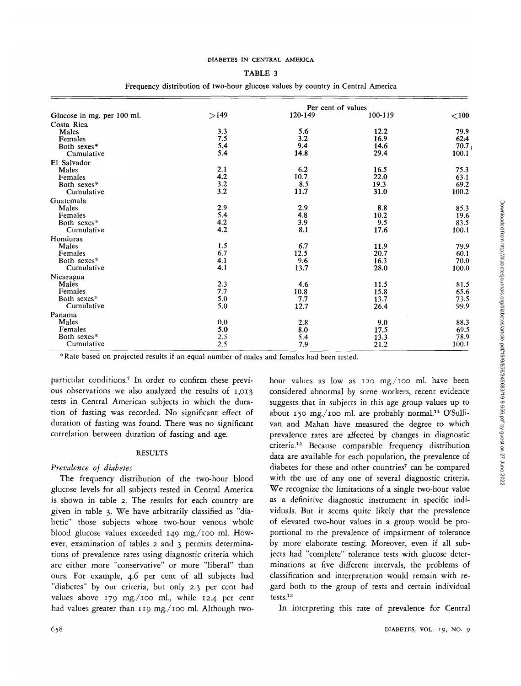#### DIABETES IN CENTRAL AMERICA

#### TABLE 3

|                            | Per cent of values |         |         |       |  |  |  |  |
|----------------------------|--------------------|---------|---------|-------|--|--|--|--|
| Glucose in mg. per 100 ml. | >149               | 120-149 | 100-119 | < 100 |  |  |  |  |
| Costa Rica                 |                    |         |         |       |  |  |  |  |
| Males                      | 3.3                | 5.6     | 12.2    | 79.9  |  |  |  |  |
| Females                    | 7.5                | 3.2     | 16.9    | 62.4  |  |  |  |  |
| Both sexes*                | 5.4                | 9.4     | 14.6    | 70.7  |  |  |  |  |
| Cumulative                 | 5.4                | 14.8    | 29.4    | 100.1 |  |  |  |  |
| El Salvador                |                    |         |         |       |  |  |  |  |
| Males                      | 2.1                | 6.2     | 16.5    | 75.3  |  |  |  |  |
| Females                    | 4.2                | 10.7    | 22.0    | 63.1  |  |  |  |  |
| Both sexes*                | 3.2                | 8.5     | 19.3    | 69.2  |  |  |  |  |
| Cumulative                 | 3.2                | 11.7    | 31.0    | 100.2 |  |  |  |  |
| Guatemala                  |                    |         |         |       |  |  |  |  |
| Males                      | 2.9                | 2.9     | 8.8     | 85.3  |  |  |  |  |
| Females                    | 5.4                | 4.8     | 10.2    | 19.6  |  |  |  |  |
| Both sexes*                | 4.2                | 3.9     | 9.5     | 83.5  |  |  |  |  |
| Cumulative                 | 4.2                | 8.1     | 17.6    | 100.1 |  |  |  |  |
| Honduras                   |                    |         |         |       |  |  |  |  |
| Males                      | 1.5                | 6.7     | 11.9    | 79.9  |  |  |  |  |
| <b>Females</b>             | 6.7                | 12.5    | 20.7    | 60.1  |  |  |  |  |
| Both sexes*                | 4.1                | 9.6     | 16.3    | 70.0  |  |  |  |  |
| Cumulative                 | 4.1                | 13.7    | 28.0    | 100.0 |  |  |  |  |
| Nicaragua                  |                    |         |         |       |  |  |  |  |
| Males                      | 2.3                | 4.6     | 11.5    | 81.5  |  |  |  |  |
| Females                    | 7.7                | 10.8    | 15.8    | 65.6  |  |  |  |  |
| Both sexes*                | 5.0                | 7.7     | 13.7    | 73.5  |  |  |  |  |
| Cumulative                 | 5.0                | 12.7    | 26.4    | 99.9  |  |  |  |  |
| Panama                     |                    |         |         |       |  |  |  |  |
| Males                      | 0.0                | 2.8     | 9.0     | 88.3  |  |  |  |  |
| Females                    | 5.0                | 8.0     | 17.5    | 69.5  |  |  |  |  |
| Both sexes*                | 2.5                | 5.4     | 13.3    | 78.9  |  |  |  |  |
| Cumulative                 | 2.5                | 7.9     | 21.2    | 100.1 |  |  |  |  |

### Frequency distribution of two-hour glucose values by country in Central America

\*Rate based on projected results if an equal number of males and females had been tested.

particular conditions.7 In order to confirm these previous observations we also analyzed the results of 1,013 tests in Central American subjects in which the duration of fasting was recorded. No significant effect of duration of fasting was found. There was no significant correlation between duration of fasting and age.

#### RESULTS

## *Prevalence of diabetes*

The frequency distribution of the two-hour blood glucose levels for all subjects tested in Central America is shown in table 2. The results for each country are given in table 3. We have arbitrarily classified as "diabetic" those subjects whose two-hour venous whole blood glucose values exceeded 149 mg./ioo ml. However, examination of tables 2 and 3 permits determinations of prevalence rates using diagnostic criteria which are either more "conservative" or more "liberal" than ours. For example, 4.6 per cent of all subjects had "diabetes" by our criteria, but only 2.3 per cent had values above 179 mg./100 ml., while 12.4 per cent had values greater than 119 mg./ioo ml. Although twohour values as low as 120 mg./ioo ml. have been considered abnormal by some workers, recent evidence suggests that in subjects in this age group values up to about 150 mg./100 ml. are probably normal.<sup>11</sup> O'Sullivan and Mahan have measured the degree to which prevalence rates are affected by changes in diagnostic criteria.12 Because comparable frequency distribution data are available for each population, the prevalence of diabetes for these and other countries<sup>7</sup> can be compared with the use of any one of several diagnostic criteria. We recognize the limitations of a single two-hour value as a definitive diagnostic instrument in specific individuals. But it seems quite likely that the prevalence of elevated two-hour values in a group would be proportional to the prevalence of impairment of tolerance by more elaborate testing. Moreover, even if all subjects had "complete" tolerance tests with glucose determinations at five different intervals, the problems of classification and interpretation would remain with regard both to the group of tests and certain individual tests.13

In interpreting this rate of prevalence for Central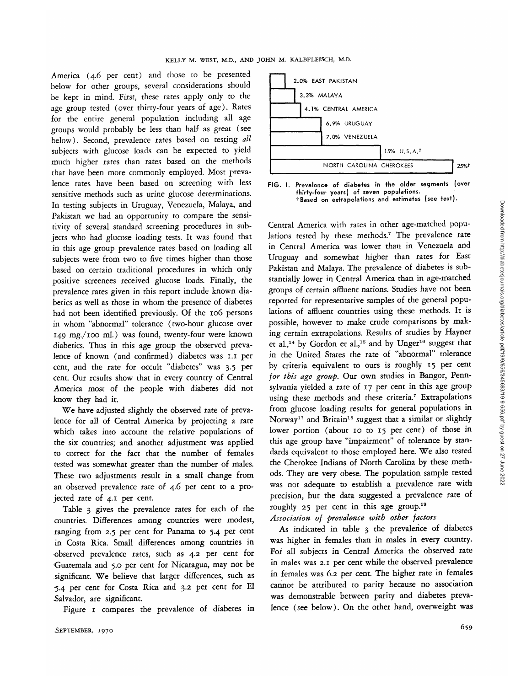.America (4.6 per cent) and those to be presented below for other groups, several considerations should be kept in mind. First, these rates apply only to the age group tested (over thirty-four years of age). Rates for the entire general population including all age groups would probably be less than half as great (see below). Second, prevalence rates based on testing *all* subjects with glucose loads can be expected to yield much higher rates than rates based on the methods that have been more commonly employed. Most prevalence rates have been based on screening with less sensitive methods such as urine glucose determinations. In testing subjects in Uruguay, Venezuela, Malaya, and Pakistan we had an opportunity to compare the sensitivity of several standard screening procedures in subjects who had glucose loading tests. It was found that in this age group prevalence rates based on loading all subjects were from two to five times higher than those based on certain traditional procedures in which only positive screenees received glucose loads. Finally, the prevalence rates given in this report include known diabetics as well as those in whom the presence of diabetes had not been identified previously. Of the 106 persons in whom "abnormal" tolerance (two-hour glucose over 149 mg./ioo ml.) was found, twenty-four were known diabetics. Thus in this age group the observed prevalence of known (and confirmed) diabetes was 1.1 per cent, and the rate for occult "diabetes" was 3.5 per cent. Our results show that in every country of Central America most of the people with diabetes did not know they had it.

We have adjusted slightly the observed rate of prevalence for all of Central America by projecting a rate which takes into account the relative populations of the six countries; and another adjustment was applied to correct for the fact that the number of females tested was somewhat greater than the number of males. These two adjustments result in a small change from an observed prevalence rate of 4.6 per cent to a projected rate of 4.1 per cent.

Table 3 *gives* the prevalence rates for each of the countries. Differences among countries were modest, ranging from 2.5 per cent for Panama to 5.4 per cent in Costa Rica. Small differences among countries in observed prevalence rates, such as 4.2 per cent for Guatemala and 5.0 per cent for Nicaragua, may not be significant. We believe that larger differences, such as 5.4 per cent for Costa Rica and 3.2 per cent for El .Salvador, are significant.

Figure 1 compares the prevalence of diabetes in



FIG. I. Prevalence of diabetes in the older segments (over thirty-four years) of seven populations. tBased on extrapolations and estimates (see text).

Central America with rates in other age-matched populations tested by these methods.<sup>7</sup> The prevalence rate in Central America was lower than in Venezuela and Uruguay and somewhat higher than rates for East Pakistan and Malaya. The prevalence of diabetes is substantially lower in Central America than in age-matched groups of certain affluent nations. Studies have not been reported for representative samples of the general populations of affluent countries using these methods. It *is* possible, however to make crude comparisons by making certain extrapolations. Results of studies by Hayner et al.,<sup>14</sup> by Gordon et al.,<sup>15</sup> and by Unger<sup>16</sup> suggest that in the United States the rate of "abnormal" tolerance by criteria equivalent to ours is roughly 15 per cent *for this age group.* Our own studies in Bangor, Pennsylvania yielded a rate of 17 per cent in this age group using these methods and these criteria.<sup>7</sup> Extrapolations from glucose loading results for general populations in Norway<sup>17</sup> and Britain<sup>18</sup> suggest that a similar or slightly lower portion (about 10 to 15 per cent) of those in this age group have "impairment" of tolerance by standards equivalent to those employed here. We also tested the Cherokee Indians of North Carolina by these methods. They are very obese. The population sample tested was not adequate to establish a prevalence rate with precision, but the data suggested a prevalence rate of roughly 25 per cent in this age group.<sup>19</sup>

*Association of prevalence with other factors*

As indicated in table 3 the prevalence of diabetes was higher in females than in males in every country. For all subjects in Central America the observed rate in males was 2.1 per cent while the observed prevalence in females was 6.2 per cent. The higher rate in females cannot be attributed to parity because no association was demonstrable between parity and diabetes prevalence (see below). On the other hand, overweight was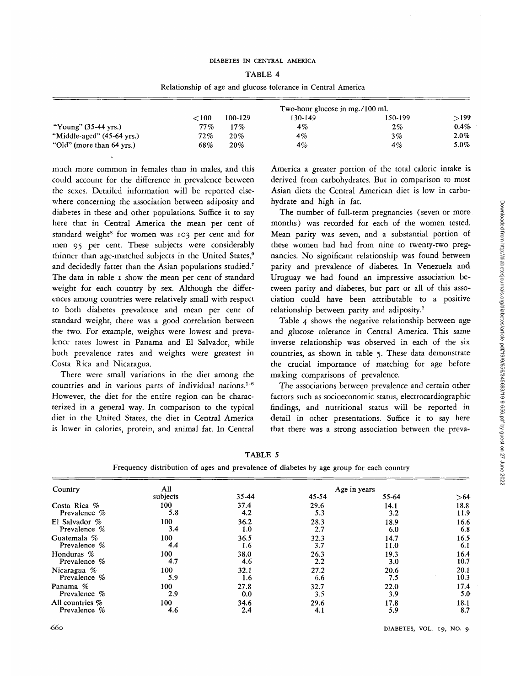## DIABETES IN CENTRAL AMERICA

#### TABLE 4

Relationship of age and glucose tolerance in Central America

|                                | Two-hour glucose in mg./100 ml. |         |         |         |         |
|--------------------------------|---------------------------------|---------|---------|---------|---------|
|                                | 100^                            | 100-129 | 130-149 | 150-199 | $>$ 199 |
| "Young" $(35-44 \text{ yrs.})$ | $77\%$                          | 17%     | 4%      | $2\%$   | $0.4\%$ |
| "Middle-aged" (45-64 yrs.)     | 72%                             | 20%     | 4%      | 3%      | $2.0\%$ |
| "Old" (more than 64 yrs.)      | 68%                             | 20%     | 4%      | 4%      | $5.0\%$ |

much more common in females than in males, and this could account for the difference in prevalence between the sexes. Detailed information will be reported elsewhere concerning the association between adiposity and diabetes in these and other populations. Suffice it to say here that in Central America the mean per cent of standard weight<sup>s</sup> for women was 103 per cent and for men 95 per cent. These subjects were considerably thinner than age-matched subjects in the United States,<sup>9</sup> and decidedly fatter than the Asian populations studied.7 The data in table 1 show the mean per cent of standard weight for each country by sex. Although the differences among countries were relatively small with respect to both diabetes prevalence and mean per cent of standard weight, there was a good correlation between the two. For example, weights were lowest and prevalence rates lowest in Panama and El Salvador, while both prevalence rates and weights were greatest in Costa Rica and Nicaragua.

There were small variations in the diet among the countries and in various parts of individual nations.<sup>1-6</sup> However, the diet for the entire region can be characterized in a general way. In comparison to the typical diet in the United States, the diet in Central America is lower in calories, protein, and animal fat. In Central

America a greater portion of the total caloric intake is derived from carbohydrates. But in comparison to most Asian diets the Central American diet is low in carbohydrate and high in fat.

The number of full-term pregnancies (seven or more months) was recorded for each of the women tested. Mean parity was seven, and a substantial portion of these women had had from nine to twenty-two pregnancies. No significant relationship was found between parity and prevalence of diabetes. In Venezuela and Uruguay we had found an impressive association between parity and diabetes, but part or all of this association could have been attributable to a positive relationship between parity and adiposity.7

Table 4 shows the negative relationship between age and glucose tolerance in Central America. This same inverse relationship was observed in each of the six countries, as shown in table 5. These data demonstrate the crucial importance of matching for age before making comparisons of prevalence.

The associations between prevalence and certain other factors such as socioeconomic status, electrocardiographic findings, and nutritional status will be reported in detail in other presentations. Suffice it to say here that there was a strong association between the preva-

| Country           | All      |       |       | Age in years |      |
|-------------------|----------|-------|-------|--------------|------|
|                   | subjects | 35-44 | 45-54 | 55-64        | > 64 |
| Costa Rica %      | 100      | 37.4  | 29.6  | 14.1         | 18.8 |
| Prevalence $%$    | 5.8      | 4.2   | 5.3   | 3.2          | 11.9 |
| El Salvador %     | 100      | 36.2  | 28.3  | 18.9         | 16.6 |
| Prevalence $\%$   | 3.4      | 1.0   | 2.7   | 6.0          | 6.8  |
| Guatemala $\%$    | 100      | 36.5  | 32.3  | 14.7         | 16.5 |
| Prevalence %      | 4.4      | 1.6   | 3.7   | 11.0         | 6.1  |
| Honduras %        | 100      | 38.0  | 26.3  | 19.3         | 16.4 |
| Prevalence %      | 4.7      | 4.6   | 2.2   | 3.0          | 10.7 |
| Nicaragua $%$     | 100      | 32.1  | 27.2  | 20.6         | 20.1 |
| Prevalence $%$    | 5.9      | 1.6   | 6.6   | 7.5          | 10.3 |
| Panama %          | 100      | 27.8  | 32.7  | 22.0         | 17.4 |
| Prevalence %      | 2.9      | 0.0   | 3,5   | 3.9          | 5.0  |
| All countries $%$ | 100      | 34.6  | 29.6  | 17.8         | 18.1 |
| Prevalence $%$    | 4.6      | 2.4   | 4.1   | 5.9          | 8.7  |

TABLE 5

| Frequency distribution of ages and prevalence of diabetes by age group for each country |  |  |  |  |  |  |  |
|-----------------------------------------------------------------------------------------|--|--|--|--|--|--|--|
|-----------------------------------------------------------------------------------------|--|--|--|--|--|--|--|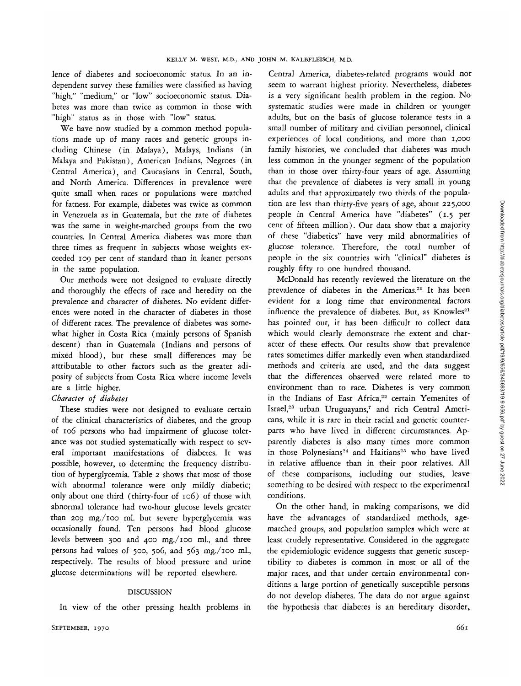lence of diabetes and socioeconomic status. In an independent survey these families were classified as having ^'high," "medium," or "low" socioeconomic status. Diabetes was more than twice as common in those with "high" status as in those with "low" status.

We have now studied by a common method populations made up of many races and genetic groups including Chinese (in Malaya), Malays, Indians (in Malaya and Pakistan), American Indians, Negroes (in Central America), and Caucasians in Central, South, and North America. Differences in prevalence were quite small when races or populations were matched for fatness. For example, diabetes was twice as common in Venezuela as in Guatemala, but the rate of diabetes was the same in weight-matched groups from the two countries. In Central America diabetes was more than three times as frequent in subjects whose weights exceeded 109 per cent of standard than in leaner persons in the same population.

Our methods were not designed to evaluate directly and thoroughly the effects of race and heredity on the prevalence and character of diabetes. No evident differences were noted in the character of diabetes in those of different races. The prevalence of diabetes was somewhat higher in Costa Rica (mainly persons of Spanish descent) than in Guatemala (Indians and persons of mixed blood), but these small differences may be attributable to other factors such as the greater adiposity of subjects from Costa Rica where income levels are a little higher.

## *Character of diabetes*

These studies were not designed to evaluate certain of the clinical characteristics of diabetes, and the group of 106 persons who had impairment of glucose tolerance was not studied systematically with respect to several important manifestations of diabetes. It was possible, however, to determine the frequency distribution of hyperglycemia. Table 2 shows that most of those with abnormal tolerance were only mildly diabetic; only about one third (thirty-four of 106) of those with abnormal tolerance had two-hour glucose levels greater than 209 mg./ioo ml. but severe hyperglycemia was occasionally found. Ten persons had blood glucose levels between 300 and 400 mg./ioo ml., and three persons had values of 500, 506, and 563 mg./ioo ml., respectively. The results of blood pressure and urine glucose determinations will be reported elsewhere.

## DISCUSSION

In view of the other pressing health problems in

Central America, diabetes-related programs would not seem to warrant highest priority. Nevertheless, diabetes is a very significant health problem in the region. No systematic studies were made in children or younger adults, but on the basis of glucose tolerance tests in a small number of military and civilian personnel, clinical experiences of local conditions, and more than 1,000 family histories, we concluded that diabetes was much less common in the younger segment of the population than in those over thirty-four years of age. Assuming that the prevalence of diabetes is very small in young adults and that approximately two thirds of the population are less than thirty-five years of age, about 225,000 people in Central America have "diabetes" (1.5 per cent of fifteen million). Our data show that a majority of these "diabetics" have very mild abnormalities of glucose tolerance. Therefore, the total number of people in the six countries with "clinical" diabetes is roughly fifty to one hundred thousand.

McDonald has recently reviewed the literature on the prevalence of diabetes in the Americas.<sup>20</sup> It has been evident for a long time that environmental factors influence the prevalence of diabetes. But, as Knowles<sup>21</sup> has pointed out, it has been difficult to collect data which would clearly demonstrate the extent and character of these effects. Our results show that prevalence rates sometimes differ markedly even when standardized methods and criteria are used, and the data suggest that the differences observed were related more to environment than to race. Diabetes is very common in the Indians of East Africa,<sup>22</sup> certain Yemenites of Israel,<sup>23</sup> urban Uruguayans,7 and rich Central Americans, while *it* is rare in their racial and genetic counterparts who have lived in different circumstances. Apparently diabetes *is* also many times more common in those Polynesians<sup>24</sup> and Haitians<sup>25</sup> who have lived in relative affluence than in their poor relatives. All of these comparisons, including our studies, leave something to be desired with respect to the experimental conditions.

On the other hand, in making comparisons, we did have the advantages of standardized methods, agematched groups, and population samples which were at least crudely representative. Considered in the aggregate the epidemiologic evidence suggests that genetic susceptibility to diabetes is common in most or all of the major races, and that under certain environmental conditions a large portion of genetically susceptible persons do not develop diabetes. The data do not argue against the hypothesis that diabetes is an hereditary disorder,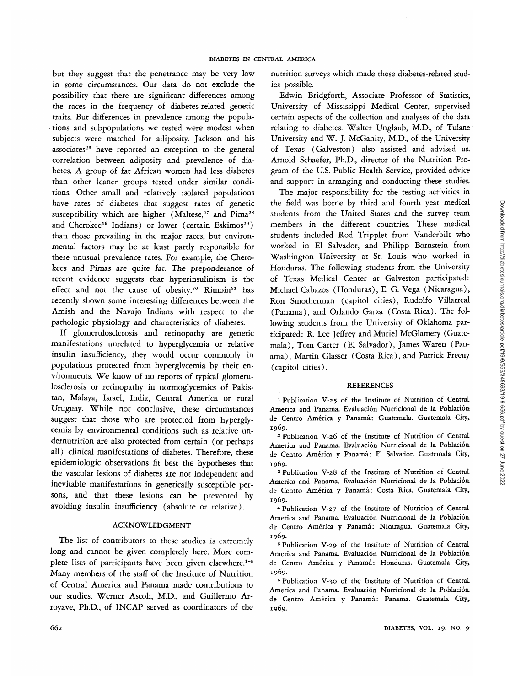but they suggest that the penetrance may be very low in some circumstances. Our data do not exclude the possibility that there are significant differences among the races in the frequency of diabetes-related genetic traits. But differences in prevalence among the populations and subpopulations we tested were modest when subjects were matched for adiposity. Jackson and his associates<sup>26</sup> have reported an exception to the general correlation between adiposity and prevalence of diabetes. A group of fat African women had less diabetes than other leaner groups tested under similar conditions. Other small and relatively isolated populations have rates of diabetes that suggest rates of genetic susceptibility which are higher (Maltese,<sup>27</sup> and Pima<sup>28</sup> and Cherokee<sup>19</sup> Indians) or lower (certain Eskimos<sup>29</sup>) than those prevailing in the major races, but environmental factors may be at least partly responsible for these unusual prevalence rates. For example, the Cherokees and Pimas are quite fat. The preponderance of recent evidence *suggests* that hyperinsulinism is the effect and not the cause of obesity.<sup>30</sup> Rimoin<sup>31</sup> has recently shown some interesting differences between the Amish and the Navajo Indians with respect to the pathologic physiology and characteristics of diabetes.

If glomerulosclerosis and retinopathy are genetic manifestations unrelated to hyperglycemia or relative insulin insufficiency, they would occur commonly in populations protected from hyperglycemia by their environments. We know of no reports of typical glomerulosclerosis or retinopathy in normoglycemics of Pakistan, Malaya, Israel, India, Central America or rural Uruguay. While not conclusive, these circumstances suggest that those who are protected from hyperglycemia by environmental conditions such as relative undernutrition are also protected from certain (or perhaps all) clinical manifestations of diabetes. Therefore, these epidemiologic observations fit best the hypotheses that the vascular lesions of diabetes are not independent and inevitable manifestations in genetically susceptible persons, and that these lesions can be prevented by avoiding insulin insufficiency (absolute or relative).

## ACKNOWLEDGMENT

The list of contributors to these studies is extremely long and cannot be given completely here. More complete lists of participants have been given elsewhere.<sup>1-6</sup> Many members of the staff of the Institute of Nutrition of Central America and Panama made contributions to our studies. Werner Ascoli, M.D., and Guillermo Arroyave, Ph.D., of INCAP served as coordinators of the nutrition surveys which made these diabetes-related studies possible.

Edwin Bridgforth, Associate Professor of Statistics, University of Mississippi Medical Center, supervised certain aspects of the collection and analyses of the data relating to diabetes. Walter Unglaub, M.D., of Tulane University and W. J. McGanity, M.D., of the University of Texas (Galveston) also assisted and advised us. Arnold Schaefer, Ph.D., director of the Nutrition Program of the U.S. Public Health Service, provided advice and support in arranging and conducting these studies.

The major responsibility for the testing activities in the field was borne by third and fourth year medical students from the United States and the survey team members in the different countries. These medical students included Rod Tripplet from Vanderbilt who worked in El Salvador, and Philipp Bornstein from Washington University at St. Louis who worked in Honduras. The following students from the University of Texas Medical Center at Galveston participated: Michael Cabazos (Honduras), E. G. Vega (Nicaragua), Ron Smotherman (capitol cities), Rudolfo Villarreal (Panama), and Orlando Garza (Costa Rica). The following students from the University of Oklahoma participated: R. Lee Jeffrey and Muriel McGlamery (Guatemala), Tom Carter (El Salvador), James Waren (Panama), Martin Glasser (Costa Rica), and Patrick Freeny (capitol cities).

#### **REFERENCES**

1 Publication V-25 of the Institute of Nutrition of Central America and Panama. Evaluación Nutricional de la Población de Centro América y Panamá: Guatemala. Guatemala City, 1969. *<sup>2</sup>*

 Publication V-26 of the Institute of Nutrition of Central America and Panama. Evaluacion Nutricional de la Poblacion de Centro América y Panamá: El Salvador. Guatemala City, 1969.

<sup>3</sup> Publication V-28 of the Institute of Nutrition of Central America and Panama. Evaluacion Nutricional de la Poblacion de Centro América y Panamá: Costa Rica. Guatemala City, 1969.

1969. <sup>4</sup> Publication V-27 of the Institute of Nutrition of Central America and Panama. Evaluación Nutricional de la Población de Centro América y Panamá: Nicaragua. Guatemala City, 1969.

<sup>5</sup> Publication V-29 of the Institute of Nutrition of Central America and Panama. Evaluacion Nutricional de la Poblacion de Centro América y Panamá: Honduras. Guatemala City, 1969.

1969. <sup>6</sup> Publication V-30 of the Institute of Nutrition of Central America and Panama. Evaluación Nutricional de la Población de Centro América y Panamá: Panama. Guatemala City, 1969.